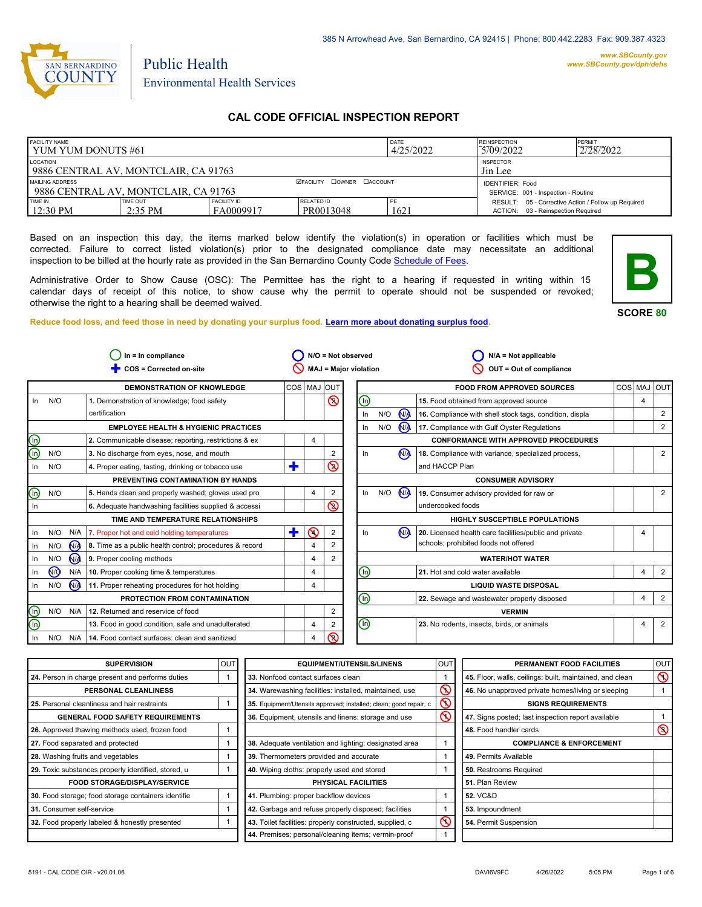

 $\overline{\ln}$ 

⊚  $\bigcirc$ 

 $\circledcirc$ 

el<br>G

 $\circledR$ 

*www.SBCounty.gov [www.SBCounty.gov/dph/dehs](http://www.sbcounty.gov/dph/ehsportal)*

# Environmental Health Services

Public Health

# **CAL CODE OFFICIAL INSPECTION REPORT**

| <b>FACILITY NAME</b><br>I YUM YUM DONUTS #61            |                       |                                                                |                         | DATE<br>4/25/2022 | <b>REINSPECTION</b><br>5709/2022                                                          | PERMIT<br>2/28/2022 |
|---------------------------------------------------------|-----------------------|----------------------------------------------------------------|-------------------------|-------------------|-------------------------------------------------------------------------------------------|---------------------|
| LOCATION<br>9886 CENTRAL AV, MONTCLAIR, CA 91763        |                       | <b>INSPECTOR</b><br>Jin Lee                                    |                         |                   |                                                                                           |                     |
| MAILING ADDRESS<br>9886 CENTRAL AV. MONTCLAIR, CA 91763 |                       | <b>IDENTIFIER: Food</b><br>SERVICE: 001 - Inspection - Routine |                         |                   |                                                                                           |                     |
| <b>TIME IN</b><br>12:30 PM                              | TIME OUT<br>$2:35$ PM | <b>FACILITY ID</b><br>FA0009917                                | RELATED ID<br>PR0013048 | PE<br>162.        | RESULT: 05 - Corrective Action / Follow up Required<br>ACTION: 03 - Reinspection Required |                     |

Based on an inspection this day, the items marked below identify the violation(s) in operation or facilities which must be corrected. Failure to correct listed violation(s) prior to the designated compliance date may necessitate an additional inspection to be billed at the hourly rate as provided in the San Bernardino County Co[de Schedule of Fees.](https://codelibrary.amlegal.com/codes/sanbernardino/latest/sanberncty_ca/0-0-0-122474#JD_16.0213B)

Administrative Order to Show Cause (OSC): The Permittee has the right to a hearing if requested in writing within 15 calendar days of receipt of this notice, to show cause why the permit to operate should not be suspended or revoked; otherwise the right to a hearing shall be deemed waived.

**SCORE 80**

**B**

#### **Reduce food loss, and feed those in need by donating your surplus f[ood. Learn more about donating surplus food.](https://wp.sbcounty.gov/dph/programs/ehs/charitable-food-service/)**

| $In = In$ compliance    |                |                                                         |             |          | N/O = Not observed           |             |     | $N/A = Not applicable$  |                                                         |            |                |            |
|-------------------------|----------------|---------------------------------------------------------|-------------|----------|------------------------------|-------------|-----|-------------------------|---------------------------------------------------------|------------|----------------|------------|
| COS = Corrected on-site |                |                                                         |             |          | <b>MAJ = Major violation</b> |             |     | OUT = Out of compliance |                                                         |            |                |            |
|                         |                | <b>DEMONSTRATION OF KNOWLEDGE</b>                       | COS MAJ OUT |          |                              |             |     |                         | <b>FOOD FROM APPROVED SOURCES</b>                       | <b>COS</b> | <b>MAJ</b>     | <b>OUT</b> |
| N/O<br>ln.              |                | 1. Demonstration of knowledge; food safety              |             |          | $\circledcirc$               | ⑯           |     |                         | 15. Food obtained from approved source                  |            | $\overline{4}$ |            |
|                         |                | certification                                           |             |          |                              | In          | N/O | N <sub>1</sub>          | 16. Compliance with shell stock tags, condition, displa |            |                | 2          |
|                         |                | <b>EMPLOYEE HEALTH &amp; HYGIENIC PRACTICES</b>         |             |          |                              | In          | N/O | <b>NA</b>               | 17. Compliance with Gulf Oyster Regulations             |            |                | 2          |
|                         |                | 2. Communicable disease; reporting, restrictions & ex   |             | 4        |                              |             |     |                         | <b>CONFORMANCE WITH APPROVED PROCEDURES</b>             |            |                |            |
| N/O                     |                | 3. No discharge from eyes, nose, and mouth              |             |          | 2                            | In          |     | (N)                     | 18. Compliance with variance, specialized process,      |            |                | 2          |
| N/O                     |                | 4. Proper eating, tasting, drinking or tobacco use      | ٠           |          | $\circledcirc$               |             |     |                         | and HACCP Plan                                          |            |                |            |
|                         |                | PREVENTING CONTAMINATION BY HANDS                       |             |          |                              |             |     |                         | <b>CONSUMER ADVISORY</b>                                |            |                |            |
| N/O                     |                | 5. Hands clean and properly washed; gloves used pro     |             | 4        | $\overline{2}$               | In          | N/O | N <sub>A</sub>          | 19. Consumer advisory provided for raw or               |            |                | 2          |
|                         |                | 6. Adequate handwashing facilities supplied & accessi   |             |          | $\circledS$                  |             |     |                         | undercooked foods                                       |            |                |            |
|                         |                | TIME AND TEMPERATURE RELATIONSHIPS                      |             |          |                              |             |     |                         | <b>HIGHLY SUSCEPTIBLE POPULATIONS</b>                   |            |                |            |
| N/O                     | N/A            | 7. Proper hot and cold holding temperatures             | ╋           | $\Omega$ | $\overline{2}$               | In          |     | N <sub>A</sub>          | 20. Licensed health care facilities/public and private  |            | 4              |            |
| N/O                     | N <sub>A</sub> | 8. Time as a public health control; procedures & record |             |          |                              |             |     |                         | schools; prohibited foods not offered                   |            |                |            |
| N/O                     | NA.            | 9. Proper cooling methods                               |             | 4        | 2                            |             |     |                         | <b>WATER/HOT WATER</b>                                  |            |                |            |
| <b>MO</b><br>In         | N/A            | 10. Proper cooking time & temperatures                  |             | 4        |                              | ⑯           |     |                         | 21. Hot and cold water available                        |            | 4              | 2          |
| N/O                     | N <sub>A</sub> | 11. Proper reheating procedures for hot holding         |             | 4        |                              |             |     |                         | <b>LIQUID WASTE DISPOSAL</b>                            |            |                |            |
|                         |                | PROTECTION FROM CONTAMINATION                           |             |          |                              | (n)         |     |                         | 22. Sewage and wastewater properly disposed             |            | 4              | 2          |
| N/O                     | N/A            | 12. Returned and reservice of food                      |             |          | $\overline{2}$               |             |     |                         | <b>VERMIN</b>                                           |            |                |            |
|                         |                | 13. Food in good condition, safe and unadulterated      |             | 4        | 2                            | $\mathbb O$ |     |                         | 23. No rodents, insects, birds, or animals              |            | $\overline{4}$ | 2          |
| N/O                     | N/A            | 14. Food contact surfaces: clean and sanitized          |             | 4        | ல                            |             |     |                         |                                                         |            |                |            |

| <b>SUPERVISION</b>                                  | OUT | <b>EQUIPMENT/UTENSILS/LINENS</b>                                  | <b>OUT</b>              | PERMANENT FOOD FACILITIES                                | <b>OUT</b>     |
|-----------------------------------------------------|-----|-------------------------------------------------------------------|-------------------------|----------------------------------------------------------|----------------|
| 24. Person in charge present and performs duties    |     | 33. Nonfood contact surfaces clean                                |                         | 45. Floor, walls, ceilings: built, maintained, and clean | $\circledcirc$ |
| PERSONAL CLEANLINESS                                |     | 34. Warewashing facilities: installed, maintained, use            | $\overline{\mathsf{O}}$ | 46. No unapproved private homes/living or sleeping       |                |
| 25. Personal cleanliness and hair restraints        |     | 35. Equipment/Utensils approved; installed; clean; good repair, c | $\mathsf{\Omega}$       | <b>SIGNS REQUIREMENTS</b>                                |                |
| <b>GENERAL FOOD SAFETY REQUIREMENTS</b>             |     | 36. Equipment, utensils and linens: storage and use               | $\circledcirc$          | 47. Signs posted; last inspection report available       |                |
| 26. Approved thawing methods used, frozen food      |     |                                                                   |                         | 48. Food handler cards                                   | $\circledcirc$ |
| 27. Food separated and protected                    |     | 38. Adequate ventilation and lighting; designated area            |                         | <b>COMPLIANCE &amp; ENFORCEMENT</b>                      |                |
| 28. Washing fruits and vegetables                   |     | 39. Thermometers provided and accurate                            |                         | 49. Permits Available                                    |                |
| 29. Toxic substances properly identified, stored, u |     | 40. Wiping cloths: properly used and stored                       |                         | 50. Restrooms Required                                   |                |
| <b>FOOD STORAGE/DISPLAY/SERVICE</b>                 |     | PHYSICAL FACILITIES                                               |                         | 51. Plan Review                                          |                |
| 30. Food storage; food storage containers identifie |     | 41. Plumbing: proper backflow devices                             |                         | <b>52. VC&amp;D</b>                                      |                |
| <b>31.</b> Consumer self-service                    |     | 42. Garbage and refuse properly disposed; facilities              |                         | 53. Impoundment                                          |                |
| 32. Food properly labeled & honestly presented      |     | 43. Toilet facilities: properly constructed, supplied, c          | $\circledcirc$          | 54. Permit Suspension                                    |                |
|                                                     |     | 44. Premises; personal/cleaning items; vermin-proof               |                         |                                                          |                |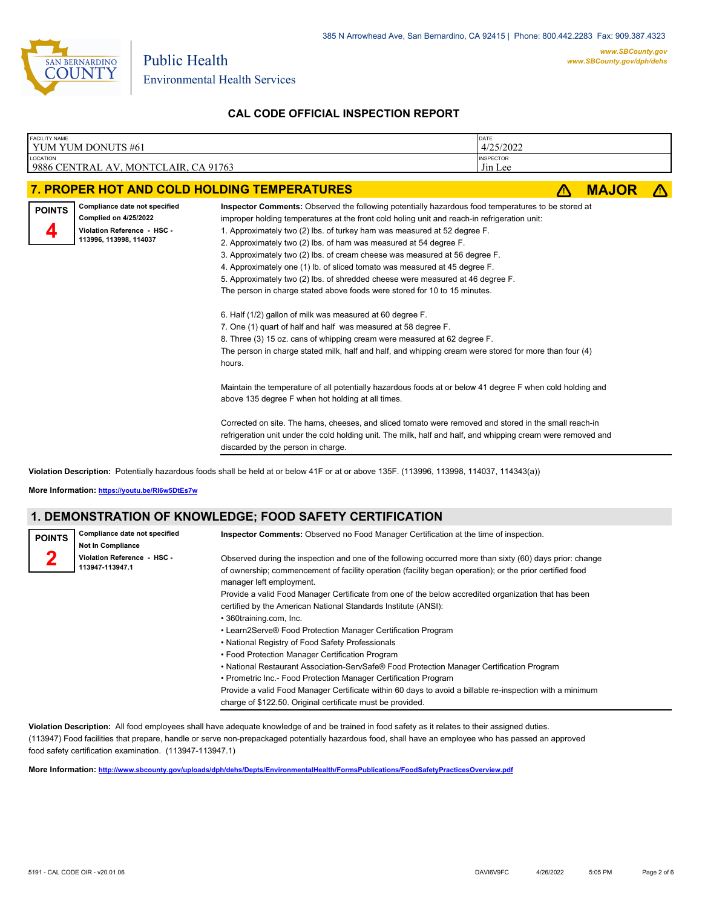

Environmental Health Services

Public Health

# **CAL CODE OFFICIAL INSPECTION REPORT**

| <b>FACILITY NAME</b> | YUM YUM DONUTS #61                                                                                                     |                                                                                                                                                                                                                                                                                                                                                                                                                                                                                                                                                                                                                                                                                                                                                                                                                                                                                                                                                                                                                                                                                                                                                                                                                                                                                                                                                                                                                                                | DATE<br>4/25/2022           |              |  |
|----------------------|------------------------------------------------------------------------------------------------------------------------|------------------------------------------------------------------------------------------------------------------------------------------------------------------------------------------------------------------------------------------------------------------------------------------------------------------------------------------------------------------------------------------------------------------------------------------------------------------------------------------------------------------------------------------------------------------------------------------------------------------------------------------------------------------------------------------------------------------------------------------------------------------------------------------------------------------------------------------------------------------------------------------------------------------------------------------------------------------------------------------------------------------------------------------------------------------------------------------------------------------------------------------------------------------------------------------------------------------------------------------------------------------------------------------------------------------------------------------------------------------------------------------------------------------------------------------------|-----------------------------|--------------|--|
| <b>LOCATION</b>      | 9886 CENTRAL AV, MONTCLAIR, CA 91763                                                                                   |                                                                                                                                                                                                                                                                                                                                                                                                                                                                                                                                                                                                                                                                                                                                                                                                                                                                                                                                                                                                                                                                                                                                                                                                                                                                                                                                                                                                                                                | <b>INSPECTOR</b><br>Jin Lee |              |  |
|                      |                                                                                                                        | 7. PROPER HOT AND COLD HOLDING TEMPERATURES                                                                                                                                                                                                                                                                                                                                                                                                                                                                                                                                                                                                                                                                                                                                                                                                                                                                                                                                                                                                                                                                                                                                                                                                                                                                                                                                                                                                    |                             | <b>MAJOR</b> |  |
| <b>POINTS</b>        | Compliance date not specified<br><b>Complied on 4/25/2022</b><br>Violation Reference - HSC -<br>113996, 113998, 114037 | Inspector Comments: Observed the following potentially hazardous food temperatures to be stored at<br>improper holding temperatures at the front cold holing unit and reach-in refrigeration unit:<br>1. Approximately two (2) lbs. of turkey ham was measured at 52 degree F.<br>2. Approximately two (2) lbs. of ham was measured at 54 degree F.<br>3. Approximately two (2) lbs. of cream cheese was measured at 56 degree F.<br>4. Approximately one (1) lb. of sliced tomato was measured at 45 degree F.<br>5. Approximately two (2) lbs. of shredded cheese were measured at 46 degree F.<br>The person in charge stated above foods were stored for 10 to 15 minutes.<br>6. Half (1/2) gallon of milk was measured at 60 degree F.<br>7. One (1) quart of half and half was measured at 58 degree F.<br>8. Three (3) 15 oz. cans of whipping cream were measured at 62 degree F.<br>The person in charge stated milk, half and half, and whipping cream were stored for more than four (4)<br>hours.<br>Maintain the temperature of all potentially hazardous foods at or below 41 degree F when cold holding and<br>above 135 degree F when hot holding at all times.<br>Corrected on site. The hams, cheeses, and sliced tomato were removed and stored in the small reach-in<br>refrigeration unit under the cold holding unit. The milk, half and half, and whipping cream were removed and<br>discarded by the person in charge. |                             |              |  |
|                      |                                                                                                                        |                                                                                                                                                                                                                                                                                                                                                                                                                                                                                                                                                                                                                                                                                                                                                                                                                                                                                                                                                                                                                                                                                                                                                                                                                                                                                                                                                                                                                                                |                             |              |  |

**Violation Description:** Potentially hazardous foods shall be held at or below 41F or at or above 135F. (113996, 113998, 114037, 114343(a))

**More Information: <https://youtu.be/RI6w5DtEs7w>**

# **1. DEMONSTRATION OF KNOWLEDGE; FOOD SAFETY CERTIFICATION**

| <b>POINTS</b> | Compliance date not specified<br>Not In Compliance | <b>Inspector Comments:</b> Observed no Food Manager Certification at the time of inspection.                                                                                                                                                     |
|---------------|----------------------------------------------------|--------------------------------------------------------------------------------------------------------------------------------------------------------------------------------------------------------------------------------------------------|
|               | Violation Reference - HSC -<br>113947-113947.1     | Observed during the inspection and one of the following occurred more than sixty (60) days prior: change<br>of ownership; commencement of facility operation (facility began operation); or the prior certified food<br>manager left employment. |
|               |                                                    | Provide a valid Food Manager Certificate from one of the below accredited organization that has been                                                                                                                                             |
|               |                                                    | certified by the American National Standards Institute (ANSI):                                                                                                                                                                                   |
|               |                                                    | • 360training.com, Inc.                                                                                                                                                                                                                          |
|               |                                                    | • Learn2Serve® Food Protection Manager Certification Program                                                                                                                                                                                     |
|               |                                                    | • National Registry of Food Safety Professionals                                                                                                                                                                                                 |
|               |                                                    | • Food Protection Manager Certification Program                                                                                                                                                                                                  |
|               |                                                    | • National Restaurant Association-ServSafe® Food Protection Manager Certification Program                                                                                                                                                        |
|               |                                                    | • Prometric Inc.- Food Protection Manager Certification Program                                                                                                                                                                                  |
|               |                                                    | Provide a valid Food Manager Certificate within 60 days to avoid a billable re-inspection with a minimum                                                                                                                                         |
|               |                                                    | charge of \$122.50. Original certificate must be provided.                                                                                                                                                                                       |

**Violation Description:** All food employees shall have adequate knowledge of and be trained in food safety as it relates to their assigned duties. (113947) Food facilities that prepare, handle or serve non-prepackaged potentially hazardous food, shall have an employee who has passed an approved food safety certification examination. (113947-113947.1)

**More Information: <http://www.sbcounty.gov/uploads/dph/dehs/Depts/EnvironmentalHealth/FormsPublications/FoodSafetyPracticesOverview.pdf>**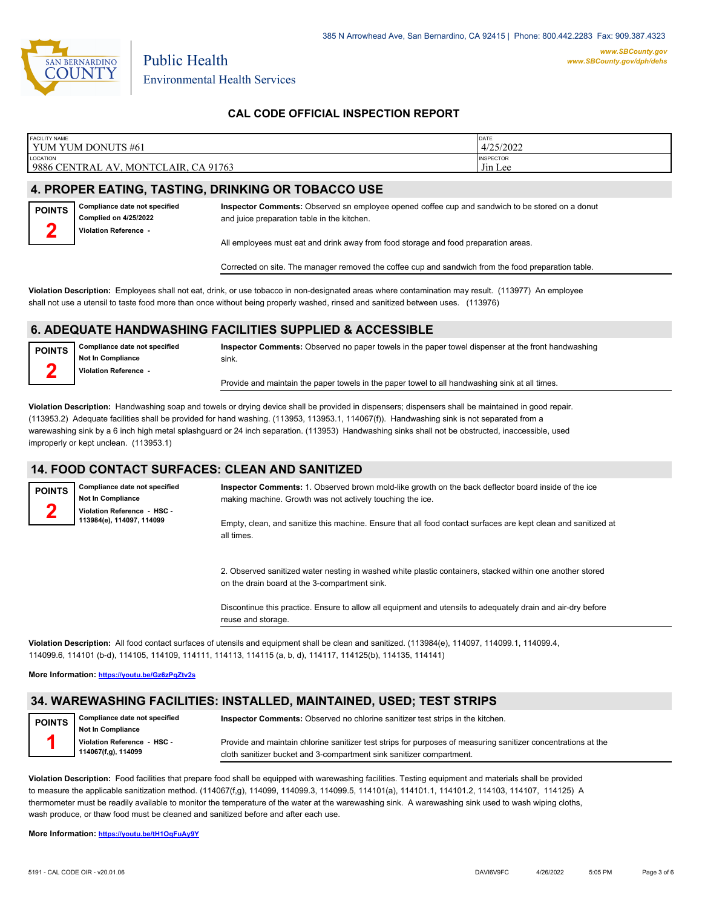

*www.SBCounty.gov [www.SBCounty.gov/dph/dehs](http://www.sbcounty.gov/dph/ehsportal)*

**CAL CODE OFFICIAL INSPECTION REPORT**

| <b>FACILITY NAME</b>                                                | <b>DATE</b>                 |
|---------------------------------------------------------------------|-----------------------------|
| YUM YUM DONUTS #61                                                  | 4/25/2022                   |
| <b>LOCATION</b><br>9886<br>. CA 91763<br>- CENTRAL AV<br>MONTCLAIR. | <b>INSPECTOR</b><br>Jin Lee |

# **4. PROPER EATING, TASTING, DRINKING OR TOBACCO USE**

**Compliance date not specified Complied on 4/25/2022 Violation Reference - POINTS 2**

**Inspector Comments:** Observed sn employee opened coffee cup and sandwich to be stored on a donut and juice preparation table in the kitchen.

All employees must eat and drink away from food storage and food preparation areas.

Corrected on site. The manager removed the coffee cup and sandwich from the food preparation table.

**Violation Description:** Employees shall not eat, drink, or use tobacco in non-designated areas where contamination may result. (113977) An employee shall not use a utensil to taste food more than once without being properly washed, rinsed and sanitized between uses. (113976)

#### **6. ADEQUATE HANDWASHING FACILITIES SUPPLIED & ACCESSIBLE**

**POINTS 2**

**Compliance date not specified Not In Compliance Violation Reference -** 

**Inspector Comments:** Observed no paper towels in the paper towel dispenser at the front handwashing sink.

Provide and maintain the paper towels in the paper towel to all handwashing sink at all times.

**Violation Description:** Handwashing soap and towels or drying device shall be provided in dispensers; dispensers shall be maintained in good repair. (113953.2) Adequate facilities shall be provided for hand washing. (113953, 113953.1, 114067(f)). Handwashing sink is not separated from a warewashing sink by a 6 inch high metal splashguard or 24 inch separation. (113953) Handwashing sinks shall not be obstructed, inaccessible, used improperly or kept unclean. (113953.1)

## **14. FOOD CONTACT SURFACES: CLEAN AND SANITIZED**

**Compliance date not specified Not In Compliance Violation Reference - HSC - 113984(e), 114097, 114099 POINTS 2 Inspector Comments:** 1. Observed brown mold-like growth on the back deflector board inside of the ice making machine. Growth was not actively touching the ice. Empty, clean, and sanitize this machine. Ensure that all food contact surfaces are kept clean and sanitized at all times.

> 2. Observed sanitized water nesting in washed white plastic containers, stacked within one another stored on the drain board at the 3-compartment sink.

> Discontinue this practice. Ensure to allow all equipment and utensils to adequately drain and air-dry before reuse and storage.

**Violation Description:** All food contact surfaces of utensils and equipment shall be clean and sanitized. (113984(e), 114097, 114099.1, 114099.4, 114099.6, 114101 (b-d), 114105, 114109, 114111, 114113, 114115 (a, b, d), 114117, 114125(b), 114135, 114141)

**More Information: <https://youtu.be/Gz6zPqZtv2s>**

## **34. WAREWASHING FACILITIES: INSTALLED, MAINTAINED, USED; TEST STRIPS**

| <b>POINTS</b> | <b>Compliance date not specified</b> | Inspector Comments: Observed no chlorine sanitizer test strips in the kitchen.                                |  |  |  |  |
|---------------|--------------------------------------|---------------------------------------------------------------------------------------------------------------|--|--|--|--|
|               | <b>Not In Compliance</b>             |                                                                                                               |  |  |  |  |
|               | Violation Reference - HSC -          | Provide and maintain chlorine sanitizer test strips for purposes of measuring sanitizer concentrations at the |  |  |  |  |
|               | 114067(f,g), 114099                  | cloth sanitizer bucket and 3-compartment sink sanitizer compartment.                                          |  |  |  |  |

**Violation Description:** Food facilities that prepare food shall be equipped with warewashing facilities. Testing equipment and materials shall be provided to measure the applicable sanitization method. (114067(f,g), 114099, 114099.3, 114099.5, 114101(a), 114101.1, 114101.2, 114103, 114107, 114125) A thermometer must be readily available to monitor the temperature of the water at the warewashing sink. A warewashing sink used to wash wiping cloths, wash produce, or thaw food must be cleaned and sanitized before and after each use.

**More Information: <https://youtu.be/tH1OqFuAy9Y>**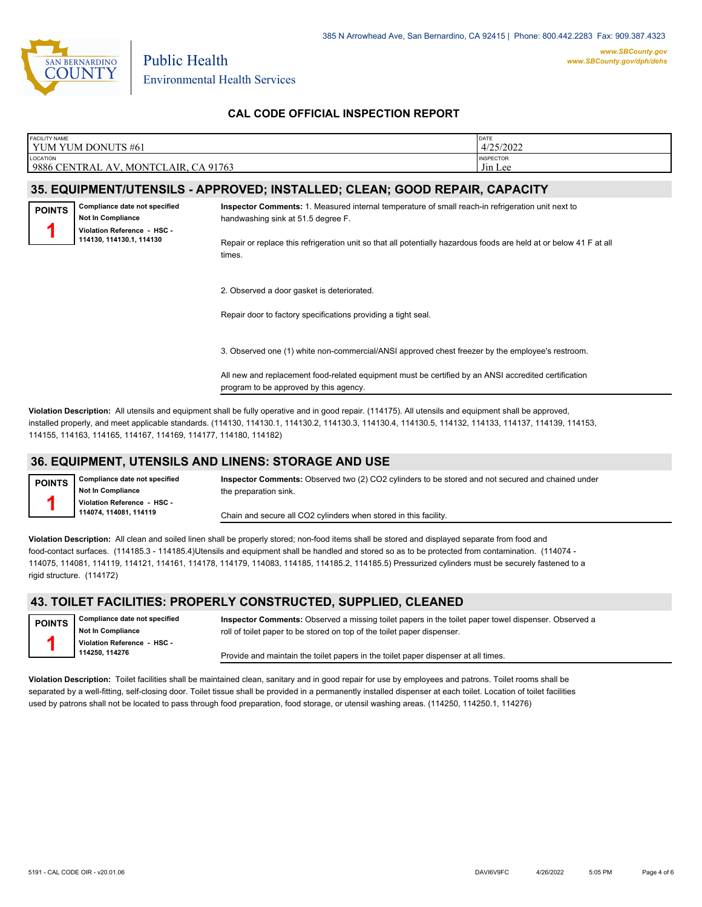

Public Health Environmental Health Services

# **CAL CODE OFFICIAL INSPECTION REPORT**

| <b>FACILITY NAME</b> | YUM YUM DONUTS #61                                                                                            |                                                                                                                                                                                                                                                                         | DATE<br>4/25/2022           |
|----------------------|---------------------------------------------------------------------------------------------------------------|-------------------------------------------------------------------------------------------------------------------------------------------------------------------------------------------------------------------------------------------------------------------------|-----------------------------|
| <b>LOCATION</b>      | 9886 CENTRAL AV, MONTCLAIR, CA 91763                                                                          |                                                                                                                                                                                                                                                                         | <b>INSPECTOR</b><br>Jin Lee |
|                      |                                                                                                               | 35. EQUIPMENT/UTENSILS - APPROVED; INSTALLED; CLEAN; GOOD REPAIR, CAPACITY                                                                                                                                                                                              |                             |
| <b>POINTS</b>        | Compliance date not specified<br>Not In Compliance<br>Violation Reference - HSC -<br>114130, 114130.1, 114130 | Inspector Comments: 1. Measured internal temperature of small reach-in refrigeration unit next to<br>handwashing sink at 51.5 degree F.<br>Repair or replace this refrigeration unit so that all potentially hazardous foods are held at or below 41 F at all<br>times. |                             |
|                      |                                                                                                               | 2. Observed a door gasket is deteriorated.<br>Repair door to factory specifications providing a tight seal.                                                                                                                                                             |                             |
|                      |                                                                                                               | 3. Observed one (1) white non-commercial/ANSI approved chest freezer by the employee's restroom.<br>All new and replacement food-related equipment must be certified by an ANSI accredited certification<br>program to be approved by this agency.                      |                             |
|                      |                                                                                                               | Violation Description: All utensils and equipment shall be fully operative and in good repair (114175). All utensils and equipment shall be approved                                                                                                                    |                             |

**Violation Description:** All utensils and equipment shall be fully operative and in good repair. (114175). All utensils and equipment shall be approved, installed properly, and meet applicable standards. (114130, 114130.1, 114130.2, 114130.3, 114130.4, 114130.5, 114132, 114133, 114137, 114139, 114153, 114155, 114163, 114165, 114167, 114169, 114177, 114180, 114182)

## **36. EQUIPMENT, UTENSILS AND LINENS: STORAGE AND USE**

**Compliance date not specified Not In Compliance Violation Reference - HSC - 114074, 114081, 114119 POINTS 1**

**Inspector Comments:** Observed two (2) CO2 cylinders to be stored and not secured and chained under the preparation sink.

Chain and secure all CO2 cylinders when stored in this facility.

**Violation Description:** All clean and soiled linen shall be properly stored; non-food items shall be stored and displayed separate from food and food-contact surfaces. (114185.3 - 114185.4)Utensils and equipment shall be handled and stored so as to be protected from contamination. (114074 - 114075, 114081, 114119, 114121, 114161, 114178, 114179, 114083, 114185, 114185.2, 114185.5) Pressurized cylinders must be securely fastened to a rigid structure. (114172)

## **43. TOILET FACILITIES: PROPERLY CONSTRUCTED, SUPPLIED, CLEANED**

**Compliance date not specified Not In Compliance Violation Reference - HSC - 114250, 114276 POINTS 1 Inspector Comments:** Observed a missing toilet papers in the toilet paper towel dispenser. Observed a roll of toilet paper to be stored on top of the toilet paper dispenser. Provide and maintain the toilet papers in the toilet paper dispenser at all times.

**Violation Description:** Toilet facilities shall be maintained clean, sanitary and in good repair for use by employees and patrons. Toilet rooms shall be separated by a well-fitting, self-closing door. Toilet tissue shall be provided in a permanently installed dispenser at each toilet. Location of toilet facilities used by patrons shall not be located to pass through food preparation, food storage, or utensil washing areas. (114250, 114250.1, 114276)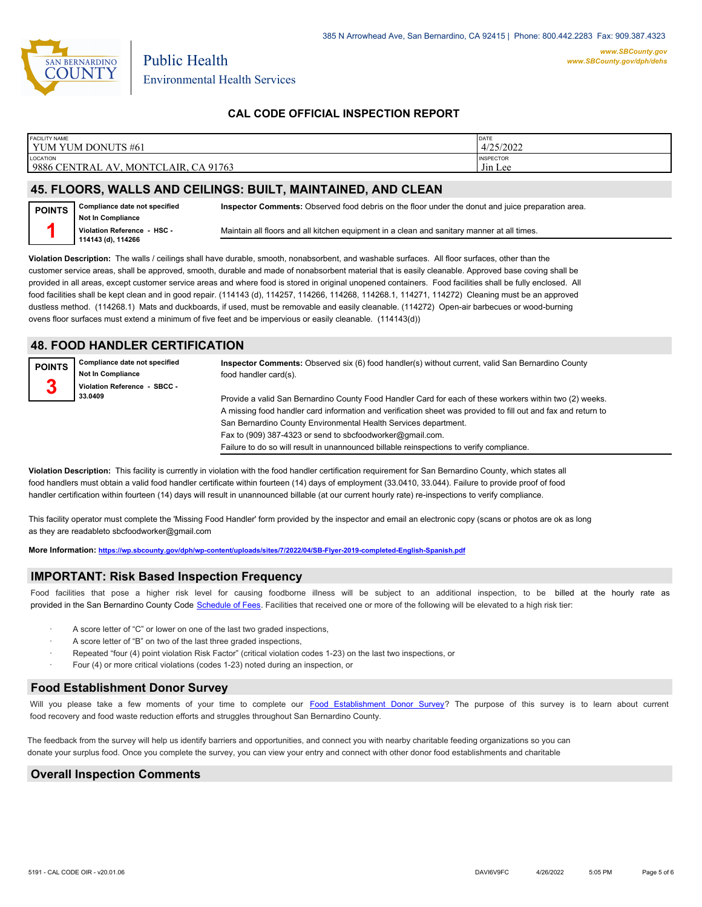

*www.SBCounty.gov [www.SBCounty.gov/dph/dehs](http://www.sbcounty.gov/dph/ehsportal)*

# **CAL CODE OFFICIAL INSPECTION REPORT**

| <b>FACILITY NAME</b><br>DONUTS #61<br>YUM YUM                                           | DATE<br>4/25/2022                                                      |
|-----------------------------------------------------------------------------------------|------------------------------------------------------------------------|
| <b>LOCATION</b><br>9886<br><b>CENTRAL</b><br>CA 91763<br><b>MONTCL</b><br>LAIR.<br>. AV | <b>INSPECTOR</b><br>$\mathbf{r}$ . $\mathbf{r}$<br>J <sub>in</sub> Lee |

## **45. FLOORS, WALLS AND CEILINGS: BUILT, MAINTAINED, AND CLEAN**

**Compliance date not specified Not In Compliance Violation Reference - HSC - 114143 (d), 114266 POINTS 1 Inspector Comments:** Observed food debris on the floor under the donut and juice preparation area. Maintain all floors and all kitchen equipment in a clean and sanitary manner at all times.

**Violation Description:** The walls / ceilings shall have durable, smooth, nonabsorbent, and washable surfaces. All floor surfaces, other than the customer service areas, shall be approved, smooth, durable and made of nonabsorbent material that is easily cleanable. Approved base coving shall be provided in all areas, except customer service areas and where food is stored in original unopened containers. Food facilities shall be fully enclosed. All food facilities shall be kept clean and in good repair. (114143 (d), 114257, 114266, 114268, 114268.1, 114271, 114272) Cleaning must be an approved dustless method. (114268.1) Mats and duckboards, if used, must be removable and easily cleanable. (114272) Open-air barbecues or wood-burning ovens floor surfaces must extend a minimum of five feet and be impervious or easily cleanable. (114143(d))

#### **48. FOOD HANDLER CERTIFICATION**

**Compliance date not specified Not In Compliance Violation Reference - SBCC - 33.0409 POINTS 3 Inspector Comments:** Observed six (6) food handler(s) without current, valid San Bernardino County food handler card(s). Provide a valid San Bernardino County Food Handler Card for each of these workers within two (2) weeks. A missing food handler card information and verification sheet was provided to fill out and fax and return to San Bernardino County Environmental Health Services department. Fax to (909) 387-4323 or send to sbcfoodworker@gmail.com. Failure to do so will result in unannounced billable reinspections to verify compliance.

**Violation Description:** This facility is currently in violation with the food handler certification requirement for San Bernardino County, which states all food handlers must obtain a valid food handler certificate within fourteen (14) days of employment (33.0410, 33.044). Failure to provide proof of food handler certification within fourteen (14) days will result in unannounced billable (at our current hourly rate) re-inspections to verify compliance.

This facility operator must complete the 'Missing Food Handler' form provided by the inspector and email an electronic copy (scans or photos are ok as long as they are readableto sbcfoodworker@gmail.com

**More Information: <https://wp.sbcounty.gov/dph/wp-content/uploads/sites/7/2022/04/SB-Flyer-2019-completed-English-Spanish.pdf>**

#### **IMPORTANT: Risk Based Inspection Frequency**

Food facilities that pose a higher risk level for causing foodborne illness will be subject to an additional inspection, to be billed at the hourly rate as provided in the San Bernardi[no County Code Schedule of Fees](https://codelibrary.amlegal.com/codes/sanbernardino/latest/sanberncty_ca/0-0-0-122474#JD_16.0213B). Facilities that received one or more of the following will be elevated to a high risk tier:

- A score letter of "C" or lower on one of the last two graded inspections,
- A score letter of "B" on two of the last three graded inspections,
- Repeated "four (4) point violation Risk Factor" (critical violation codes 1-23) on the last two inspections, or
- Four (4) or more critical violations (codes 1-23) noted during an inspection, or

#### **Food Establishment Donor Survey**

Will you please take a few moments of your time to co[mplete our Food Establishment Donor Survey?](https://survey123.arcgis.com/share/626bb0fb21674c82832b0c0d557c5e80?field:faid=FA0009917&field:facility_name=YUM%20YUM%20DONUTS%20%2361¢er=34.07,-117.69&field:phone=9096214749) The purpose of this survey is to learn about current food recovery and food waste reduction efforts and struggles throughout San Bernardino County.

The feedback from the survey will help us identify barriers and opportunities, and connect you with nearby charitable feeding organizations so you can donate your surplus fo[od. Once you complete the su](https://arcg.is/WvjGb)rvey, you can view your entry and connect with other donor food establishments and charitable

#### **Overall Inspection Comments**